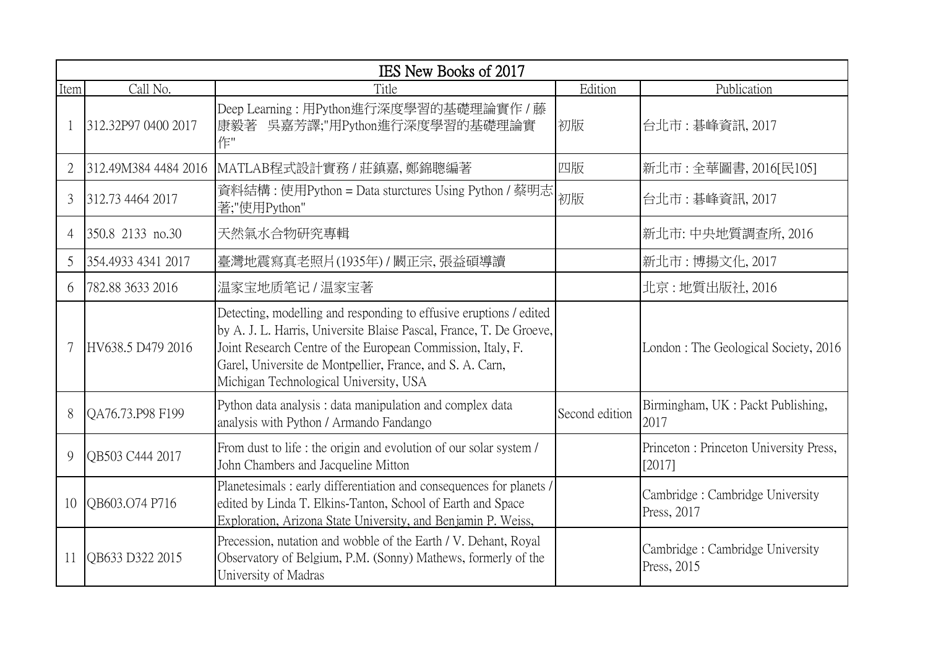|                |                      | IES New Books of 2017                                                                                                                                                                                                                                                                                           |                |                                                   |
|----------------|----------------------|-----------------------------------------------------------------------------------------------------------------------------------------------------------------------------------------------------------------------------------------------------------------------------------------------------------------|----------------|---------------------------------------------------|
| Item           | Call No.             | Title                                                                                                                                                                                                                                                                                                           | Edition        | Publication                                       |
|                | 312.32P97 0400 2017  | Deep Learning: 用Python進行深度學習的基礎理論實作 / 藤<br>吳嘉芳譯;"用Python進行深度學習的基礎理論實<br>康毅著<br>作"                                                                                                                                                                                                                               | 初版             | 台北市: 碁峰資訊, 2017                                   |
|                | 312.49M384 4484 2016 | MATLAB程式設計實務 / 莊鎮嘉, 鄭錦聰編著                                                                                                                                                                                                                                                                                       | 四版             | 新北市:全華圖書, 2016[民105]                              |
| 3              | 312.73 4464 2017     | 資料結構 : 使用Python = Data sturctures Using Python / 蔡明志<br>著;"使用Python"                                                                                                                                                                                                                                            | 初版             | 台北市:碁峰資訊, 2017                                    |
| $\overline{4}$ | 350.8 2133 no.30     | 天然氣水合物研究專輯                                                                                                                                                                                                                                                                                                      |                | 新北市:中央地質調查所, 2016                                 |
| 5              | 354.4933 4341 2017   | 臺灣地震寫真老照片(1935年) / 闞正宗,張益碩導讀                                                                                                                                                                                                                                                                                    |                | 新北市: 博揚文化, 2017                                   |
| 6              | 782.88 3633 2016     | 温家宝地质笔记 / 温家宝著                                                                                                                                                                                                                                                                                                  |                | 北京 : 地質出版社, 2016                                  |
|                | HV638.5 D479 2016    | Detecting, modelling and responding to effusive eruptions / edited<br>by A. J. L. Harris, Universite Blaise Pascal, France, T. De Groeve,<br>Joint Research Centre of the European Commission, Italy, F.<br>Garel, Universite de Montpellier, France, and S. A. Carn,<br>Michigan Technological University, USA |                | London: The Geological Society, 2016              |
| 8              | QA76.73.P98 F199     | Python data analysis: data manipulation and complex data<br>analysis with Python / Armando Fandango                                                                                                                                                                                                             | Second edition | Birmingham, UK : Packt Publishing,<br>2017        |
| 9              | OB503 C444 2017      | From dust to life : the origin and evolution of our solar system /<br>John Chambers and Jacqueline Mitton                                                                                                                                                                                                       |                | Princeton : Princeton University Press,<br>[2017] |
| 10             | QB603.O74 P716       | Planetesimals: early differentiation and consequences for planets /<br>edited by Linda T. Elkins-Tanton, School of Earth and Space<br>Exploration, Arizona State University, and Benjamin P. Weiss,                                                                                                             |                | Cambridge: Cambridge University<br>Press, 2017    |
| 11             | QB633 D322 2015      | Precession, nutation and wobble of the Earth / V. Dehant, Royal<br>Observatory of Belgium, P.M. (Sonny) Mathews, formerly of the<br>University of Madras                                                                                                                                                        |                | Cambridge: Cambridge University<br>Press, 2015    |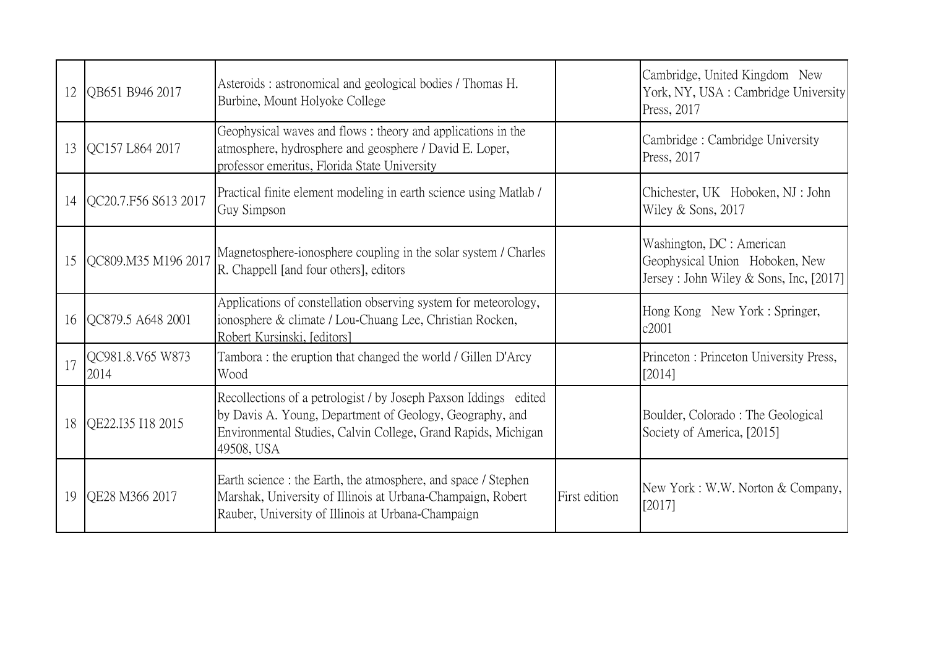| 12 | QB651 B946 2017          | Asteroids: astronomical and geological bodies / Thomas H.<br>Burbine, Mount Holyoke College                                                                                                                 |               | Cambridge, United Kingdom New<br>York, NY, USA : Cambridge University<br>Press, 2017                    |
|----|--------------------------|-------------------------------------------------------------------------------------------------------------------------------------------------------------------------------------------------------------|---------------|---------------------------------------------------------------------------------------------------------|
| 13 | OC157 L864 2017          | Geophysical waves and flows: theory and applications in the<br>atmosphere, hydrosphere and geosphere / David E. Loper,<br>professor emeritus, Florida State University                                      |               | Cambridge: Cambridge University<br>Press, 2017                                                          |
| 14 | QC20.7.F56 S613 2017     | Practical finite element modeling in earth science using Matlab /<br>Guy Simpson                                                                                                                            |               | Chichester, UK Hoboken, NJ: John<br>Wiley & Sons, 2017                                                  |
| 15 | QC809.M35 M196 2017      | Magnetosphere-ionosphere coupling in the solar system / Charles<br>R. Chappell [and four others], editors                                                                                                   |               | Washington, DC : American<br>Geophysical Union Hoboken, New<br>Jersey: John Wiley & Sons, Inc, $[2017]$ |
| 16 | QC879.5 A648 2001        | Applications of constellation observing system for meteorology,<br>ionosphere & climate / Lou-Chuang Lee, Christian Rocken,<br>Robert Kursinski, [editors]                                                  |               | Hong Kong New York: Springer,<br>c2001                                                                  |
| 17 | QC981.8.V65 W873<br>2014 | Tambora : the eruption that changed the world / Gillen D'Arcy<br>Wood                                                                                                                                       |               | Princeton: Princeton University Press,<br>[2014]                                                        |
| 18 | QE22.I35 I18 2015        | Recollections of a petrologist / by Joseph Paxson Iddings edited<br>by Davis A. Young, Department of Geology, Geography, and<br>Environmental Studies, Calvin College, Grand Rapids, Michigan<br>49508, USA |               | Boulder, Colorado: The Geological<br>Society of America, [2015]                                         |
| 19 | QE28 M366 2017           | Earth science : the Earth, the atmosphere, and space / Stephen<br>Marshak, University of Illinois at Urbana-Champaign, Robert<br>Rauber, University of Illinois at Urbana-Champaign                         | First edition | New York: W.W. Norton & Company,<br>[2017]                                                              |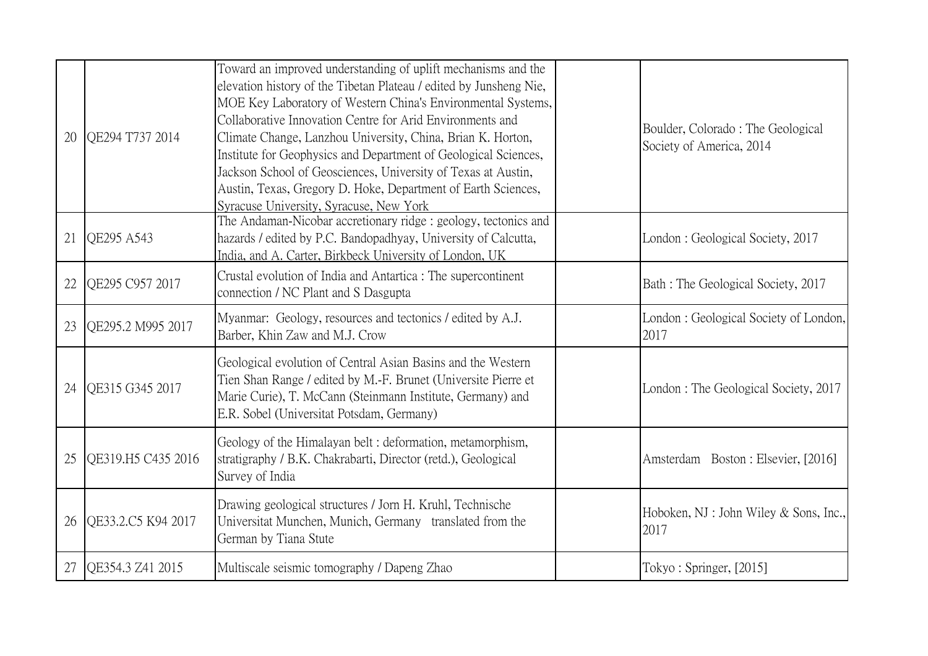| 20 | OE294 T737 2014    | Toward an improved understanding of uplift mechanisms and the<br>elevation history of the Tibetan Plateau / edited by Junsheng Nie,<br>MOE Key Laboratory of Western China's Environmental Systems,<br>Collaborative Innovation Centre for Arid Environments and<br>Climate Change, Lanzhou University, China, Brian K. Horton,<br>Institute for Geophysics and Department of Geological Sciences,<br>Jackson School of Geosciences, University of Texas at Austin,<br>Austin, Texas, Gregory D. Hoke, Department of Earth Sciences,<br>Syracuse University, Syracuse, New York | Boulder, Colorado: The Geological<br>Society of America, 2014 |
|----|--------------------|---------------------------------------------------------------------------------------------------------------------------------------------------------------------------------------------------------------------------------------------------------------------------------------------------------------------------------------------------------------------------------------------------------------------------------------------------------------------------------------------------------------------------------------------------------------------------------|---------------------------------------------------------------|
| 21 | QE295 A543         | The Andaman-Nicobar accretionary ridge: geology, tectonics and<br>hazards / edited by P.C. Bandopadhyay, University of Calcutta,<br>India, and A. Carter, Birkbeck University of London, UK                                                                                                                                                                                                                                                                                                                                                                                     | London: Geological Society, 2017                              |
| 22 | QE295 C957 2017    | Crustal evolution of India and Antartica : The supercontinent<br>connection / NC Plant and S Dasgupta                                                                                                                                                                                                                                                                                                                                                                                                                                                                           | Bath: The Geological Society, 2017                            |
| 23 | QE295.2 M995 2017  | Myanmar: Geology, resources and tectonics / edited by A.J.<br>Barber, Khin Zaw and M.J. Crow                                                                                                                                                                                                                                                                                                                                                                                                                                                                                    | London: Geological Society of London,<br>2017                 |
| 24 | QE315 G345 2017    | Geological evolution of Central Asian Basins and the Western<br>Tien Shan Range / edited by M.-F. Brunet (Universite Pierre et<br>Marie Curie), T. McCann (Steinmann Institute, Germany) and<br>E.R. Sobel (Universitat Potsdam, Germany)                                                                                                                                                                                                                                                                                                                                       | London: The Geological Society, 2017                          |
| 25 | OE319.H5 C435 2016 | Geology of the Himalayan belt: deformation, metamorphism,<br>stratigraphy / B.K. Chakrabarti, Director (retd.), Geological<br>Survey of India                                                                                                                                                                                                                                                                                                                                                                                                                                   | Amsterdam Boston: Elsevier, [2016]                            |
| 26 | QE33.2.C5 K94 2017 | Drawing geological structures / Jorn H. Kruhl, Technische<br>Universitat Munchen, Munich, Germany translated from the<br>German by Tiana Stute                                                                                                                                                                                                                                                                                                                                                                                                                                  | Hoboken, NJ : John Wiley & Sons, Inc.,<br>2017                |
| 27 | QE354.3 Z41 2015   | Multiscale seismic tomography / Dapeng Zhao                                                                                                                                                                                                                                                                                                                                                                                                                                                                                                                                     | Tokyo: Springer, [2015]                                       |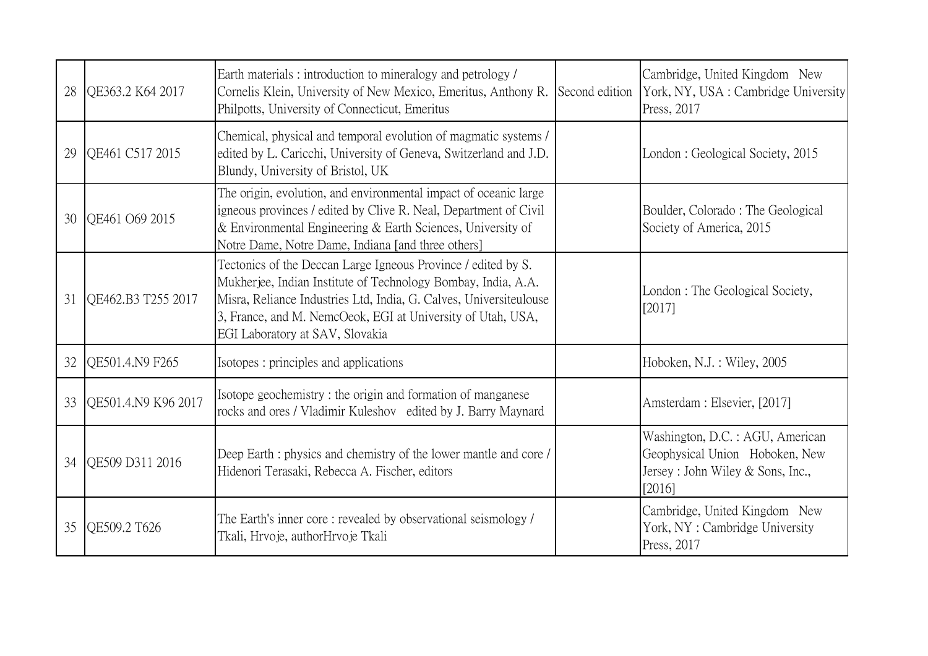| 28 | QE363.2 K64 2017    | Earth materials: introduction to mineralogy and petrology /<br>Cornelis Klein, University of New Mexico, Emeritus, Anthony R.<br>Philpotts, University of Connecticut, Emeritus                                                                                                                        | Second edition | Cambridge, United Kingdom New<br>York, NY, USA: Cambridge University<br>Press, 2017                               |
|----|---------------------|--------------------------------------------------------------------------------------------------------------------------------------------------------------------------------------------------------------------------------------------------------------------------------------------------------|----------------|-------------------------------------------------------------------------------------------------------------------|
| 29 | QE461 C517 2015     | Chemical, physical and temporal evolution of magmatic systems /<br>edited by L. Caricchi, University of Geneva, Switzerland and J.D.<br>Blundy, University of Bristol, UK                                                                                                                              |                | London: Geological Society, 2015                                                                                  |
| 30 | OE461 O69 2015      | The origin, evolution, and environmental impact of oceanic large<br>igneous provinces / edited by Clive R. Neal, Department of Civil<br>& Environmental Engineering & Earth Sciences, University of<br>Notre Dame, Notre Dame, Indiana [and three others]                                              |                | Boulder, Colorado: The Geological<br>Society of America, 2015                                                     |
| 31 | OE462.B3 T255 2017  | Tectonics of the Deccan Large Igneous Province / edited by S.<br>Mukherjee, Indian Institute of Technology Bombay, India, A.A.<br>Misra, Reliance Industries Ltd, India, G. Calves, Universiteulouse<br>3, France, and M. NemcOeok, EGI at University of Utah, USA,<br>EGI Laboratory at SAV, Slovakia |                | London: The Geological Society,<br>[2017]                                                                         |
| 32 | QE501.4.N9 F265     | Isotopes : principles and applications                                                                                                                                                                                                                                                                 |                | Hoboken, N.J.: Wiley, 2005                                                                                        |
| 33 | OE501.4.N9 K96 2017 | Isotope geochemistry: the origin and formation of manganese<br>rocks and ores / Vladimir Kuleshov edited by J. Barry Maynard                                                                                                                                                                           |                | Amsterdam : Elsevier, [2017]                                                                                      |
| 34 | OE509 D311 2016     | Deep Earth : physics and chemistry of the lower mantle and core /<br>Hidenori Terasaki, Rebecca A. Fischer, editors                                                                                                                                                                                    |                | Washington, D.C. : AGU, American<br>Geophysical Union Hoboken, New<br>Jersey : John Wiley & Sons, Inc.,<br>[2016] |
| 35 | OE509.2 T626        | The Earth's inner core: revealed by observational seismology /<br>Tkali, Hrvoje, authorHrvoje Tkali                                                                                                                                                                                                    |                | Cambridge, United Kingdom New<br>York, NY: Cambridge University<br>Press, 2017                                    |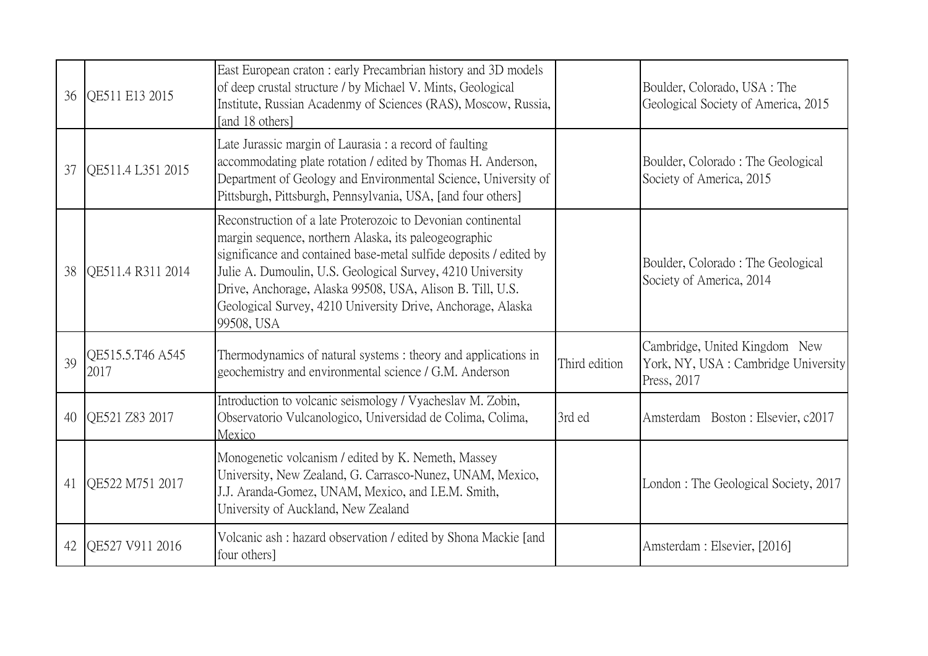| 36 | QE511 E13 2015           | East European craton: early Precambrian history and 3D models<br>of deep crustal structure / by Michael V. Mints, Geological<br>Institute, Russian Acadenmy of Sciences (RAS), Moscow, Russia,<br>[and 18 others]                                                                                                                                                                                   |               | Boulder, Colorado, USA : The<br>Geological Society of America, 2015                 |
|----|--------------------------|-----------------------------------------------------------------------------------------------------------------------------------------------------------------------------------------------------------------------------------------------------------------------------------------------------------------------------------------------------------------------------------------------------|---------------|-------------------------------------------------------------------------------------|
| 37 | OE511.4 L351 2015        | Late Jurassic margin of Laurasia : a record of faulting<br>accommodating plate rotation / edited by Thomas H. Anderson,<br>Department of Geology and Environmental Science, University of<br>Pittsburgh, Pittsburgh, Pennsylvania, USA, [and four others]                                                                                                                                           |               | Boulder, Colorado: The Geological<br>Society of America, 2015                       |
| 38 | OE511.4 R311 2014        | Reconstruction of a late Proterozoic to Devonian continental<br>margin sequence, northern Alaska, its paleogeographic<br>significance and contained base-metal sulfide deposits / edited by<br>Julie A. Dumoulin, U.S. Geological Survey, 4210 University<br>Drive, Anchorage, Alaska 99508, USA, Alison B. Till, U.S.<br>Geological Survey, 4210 University Drive, Anchorage, Alaska<br>99508, USA |               | Boulder, Colorado: The Geological<br>Society of America, 2014                       |
| 39 | OE515.5.T46 A545<br>2017 | Thermodynamics of natural systems: theory and applications in<br>geochemistry and environmental science / G.M. Anderson                                                                                                                                                                                                                                                                             | Third edition | Cambridge, United Kingdom New<br>York, NY, USA: Cambridge University<br>Press, 2017 |
| 40 | QE521 Z83 2017           | Introduction to volcanic seismology / Vyacheslav M. Zobin,<br>Observatorio Vulcanologico, Universidad de Colima, Colima,<br>Mexico                                                                                                                                                                                                                                                                  | 3rd ed        | Amsterdam Boston: Elsevier, c2017                                                   |
| 41 | QE522 M751 2017          | Monogenetic volcanism / edited by K. Nemeth, Massey<br>University, New Zealand, G. Carrasco-Nunez, UNAM, Mexico,<br>J.J. Aranda-Gomez, UNAM, Mexico, and I.E.M. Smith,<br>University of Auckland, New Zealand                                                                                                                                                                                       |               | London: The Geological Society, 2017                                                |
| 42 | OE527 V911 2016          | Volcanic ash : hazard observation / edited by Shona Mackie [and<br>four others]                                                                                                                                                                                                                                                                                                                     |               | Amsterdam : Elsevier, [2016]                                                        |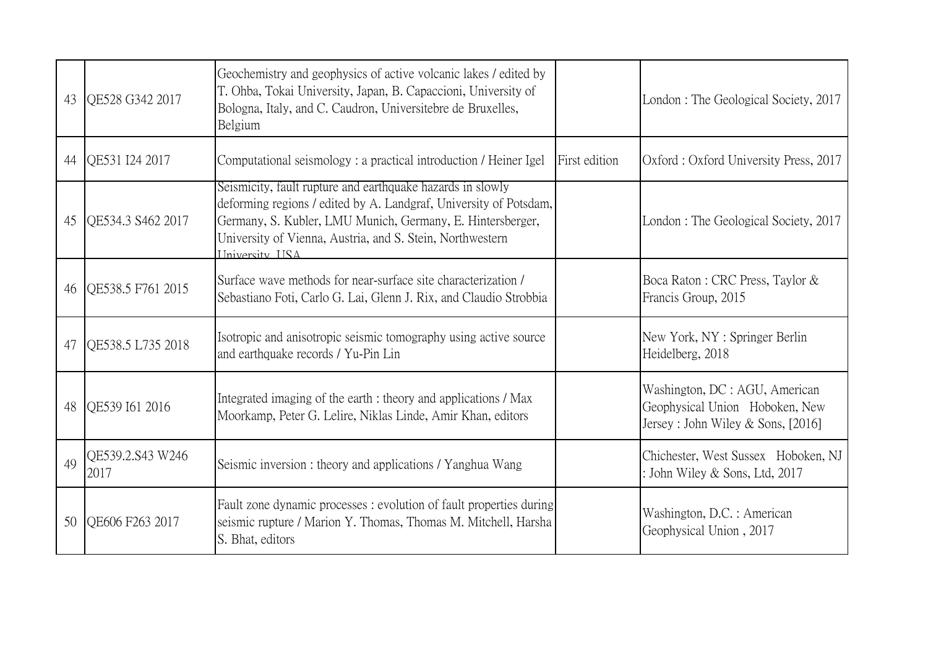| 43 | OE528 G342 2017          | Geochemistry and geophysics of active volcanic lakes / edited by<br>T. Ohba, Tokai University, Japan, B. Capaccioni, University of<br>Bologna, Italy, and C. Caudron, Universitebre de Bruxelles,<br>Belgium                                                                        |               | London: The Geological Society, 2017                                                                  |
|----|--------------------------|-------------------------------------------------------------------------------------------------------------------------------------------------------------------------------------------------------------------------------------------------------------------------------------|---------------|-------------------------------------------------------------------------------------------------------|
| 44 | QE531 I24 2017           | Computational seismology: a practical introduction / Heiner Igel                                                                                                                                                                                                                    | First edition | Oxford: Oxford University Press, 2017                                                                 |
| 45 | QE534.3 S462 2017        | Seismicity, fault rupture and earthquake hazards in slowly<br>deforming regions / edited by A. Landgraf, University of Potsdam,<br>Germany, S. Kubler, LMU Munich, Germany, E. Hintersberger,<br>University of Vienna, Austria, and S. Stein, Northwestern<br><b>Hniversity HSA</b> |               | London: The Geological Society, 2017                                                                  |
| 46 | QE538.5 F761 2015        | Surface wave methods for near-surface site characterization /<br>Sebastiano Foti, Carlo G. Lai, Glenn J. Rix, and Claudio Strobbia                                                                                                                                                  |               | Boca Raton : CRC Press, Taylor &<br>Francis Group, 2015                                               |
| 47 | OE538.5 L735 2018        | Isotropic and anisotropic seismic tomography using active source<br>and earthquake records / Yu-Pin Lin                                                                                                                                                                             |               | New York, NY: Springer Berlin<br>Heidelberg, 2018                                                     |
| 48 | QE539 I61 2016           | Integrated imaging of the earth : theory and applications / Max<br>Moorkamp, Peter G. Lelire, Niklas Linde, Amir Khan, editors                                                                                                                                                      |               | Washington, DC : AGU, American<br>Geophysical Union Hoboken, New<br>Jersey: John Wiley & Sons, [2016] |
| 49 | QE539.2.S43 W246<br>2017 | Seismic inversion : theory and applications / Yanghua Wang                                                                                                                                                                                                                          |               | Chichester, West Sussex Hoboken, NJ<br>: John Wiley & Sons, Ltd, 2017                                 |
| 50 | OE606 F263 2017          | Fault zone dynamic processes: evolution of fault properties during<br>seismic rupture / Marion Y. Thomas, Thomas M. Mitchell, Harsha<br>S. Bhat, editors                                                                                                                            |               | Washington, D.C. : American<br>Geophysical Union, 2017                                                |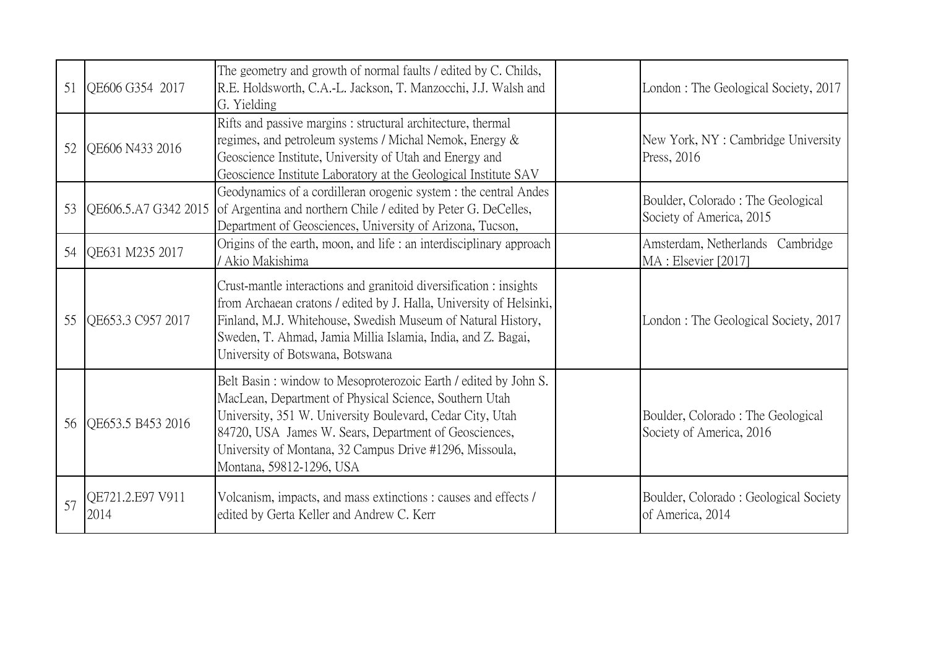| 51 | QE606 G354 2017          | The geometry and growth of normal faults / edited by C. Childs,<br>R.E. Holdsworth, C.A.-L. Jackson, T. Manzocchi, J.J. Walsh and<br>G. Yielding                                                                                                                                                                                       | London: The Geological Society, 2017                           |
|----|--------------------------|----------------------------------------------------------------------------------------------------------------------------------------------------------------------------------------------------------------------------------------------------------------------------------------------------------------------------------------|----------------------------------------------------------------|
| 52 | QE606 N433 2016          | Rifts and passive margins : structural architecture, thermal<br>regimes, and petroleum systems / Michal Nemok, Energy &<br>Geoscience Institute, University of Utah and Energy and<br>Geoscience Institute Laboratory at the Geological Institute SAV                                                                                  | New York, NY: Cambridge University<br>Press, 2016              |
| 53 |                          | Geodynamics of a cordilleran orogenic system : the central Andes<br>QE606.5.A7 G342 2015 of Argentina and northern Chile / edited by Peter G. DeCelles,<br>Department of Geosciences, University of Arizona, Tucson,                                                                                                                   | Boulder, Colorado: The Geological<br>Society of America, 2015  |
| 54 | QE631 M235 2017          | Origins of the earth, moon, and life : an interdisciplinary approach<br>/ Akio Makishima                                                                                                                                                                                                                                               | Amsterdam, Netherlands Cambridge<br>MA: Elsevier [2017]        |
| 55 | OE653.3 C957 2017        | Crust-mantle interactions and granitoid diversification : insights<br>from Archaean cratons / edited by J. Halla, University of Helsinki,<br>Finland, M.J. Whitehouse, Swedish Museum of Natural History,<br>Sweden, T. Ahmad, Jamia Millia Islamia, India, and Z. Bagai,<br>University of Botswana, Botswana                          | London: The Geological Society, 2017                           |
| 56 | QE653.5 B453 2016        | Belt Basin: window to Mesoproterozoic Earth / edited by John S.<br>MacLean, Department of Physical Science, Southern Utah<br>University, 351 W. University Boulevard, Cedar City, Utah<br>84720, USA James W. Sears, Department of Geosciences,<br>University of Montana, 32 Campus Drive #1296, Missoula,<br>Montana, 59812-1296, USA | Boulder, Colorado : The Geological<br>Society of America, 2016 |
| 57 | QE721.2.E97 V911<br>2014 | Volcanism, impacts, and mass extinctions : causes and effects /<br>edited by Gerta Keller and Andrew C. Kerr                                                                                                                                                                                                                           | Boulder, Colorado: Geological Society<br>of America, 2014      |